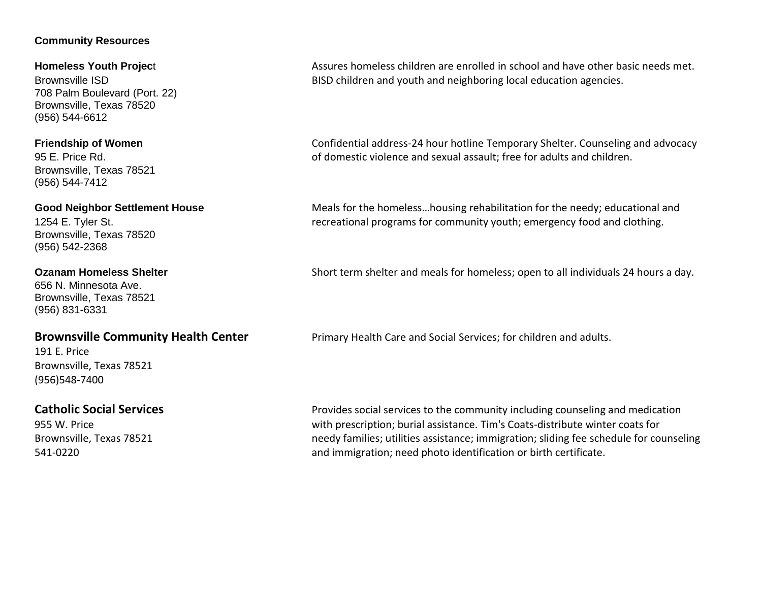## **Community Resources**

708 Palm Boulevard (Port. 22) Brownsville, Texas 78520 (956) 544-6612

Brownsville, Texas 78521 (956) 544-7412

Brownsville, Texas 78520 (956) 542-2368

656 N. Minnesota Ave. Brownsville, Texas 78521 (956) 831-6331

191 E. Price Brownsville, Texas 78521 (956)548-7400

**Homeless Youth Projec**t **Assures homeless children are enrolled in school and have other basic needs met.** Brownsville ISD BISD children and youth and neighboring local education agencies.

**Friendship of Women** Confidential address-24 hour hotline Temporary Shelter. Counseling and advocacy 95 E. Price Rd. of domestic violence and sexual assault; free for adults and children.

**Good Neighbor Settlement House** Meals for the homeless...housing rehabilitation for the needy; educational and 1254 E. Tyler St. **recreational programs for community youth**; emergency food and clothing.

**Ozanam Homeless Shelter** Short term shelter and meals for homeless; open to all individuals 24 hours a day.

**Brownsville Community Health Center** Primary Health Care and Social Services; for children and adults.

**Catholic Social Services Provides social services to the community including counseling and medication** 955 W. Price with prescription; burial assistance. Tim's Coats-distribute winter coats for Brownsville, Texas 78521 here is needy families; utilities assistance; immigration; sliding fee schedule for counseling 541-0220 and immigration; need photo identification or birth certificate.